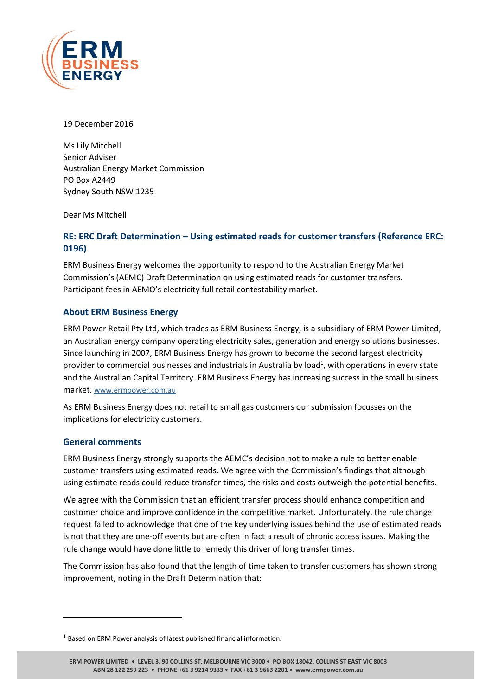

19 December 2016

Ms Lily Mitchell Senior Adviser Australian Energy Market Commission PO Box A2449 Sydney South NSW 1235

Dear Ms Mitchell

## **RE: ERC Draft Determination – Using estimated reads for customer transfers (Reference ERC: 0196)**

ERM Business Energy welcomes the opportunity to respond to the Australian Energy Market Commission's (AEMC) Draft Determination on using estimated reads for customer transfers. Participant fees in AEMO's electricity full retail contestability market.

## **About ERM Business Energy**

ERM Power Retail Pty Ltd, which trades as ERM Business Energy, is a subsidiary of ERM Power Limited, an Australian energy company operating electricity sales, generation and energy solutions businesses. Since launching in 2007, ERM Business Energy has grown to become the second largest electricity provider to commercial businesses and industrials in Australia by load<sup>1</sup>, with operations in every state and the Australian Capital Territory. ERM Business Energy has increasing success in the small business market. [www.ermpower.com.au](http://www.ermpower.com.au/)

As ERM Business Energy does not retail to small gas customers our submission focusses on the implications for electricity customers.

## **General comments**

 $\overline{\phantom{a}}$ 

ERM Business Energy strongly supports the AEMC's decision not to make a rule to better enable customer transfers using estimated reads. We agree with the Commission's findings that although using estimate reads could reduce transfer times, the risks and costs outweigh the potential benefits.

We agree with the Commission that an efficient transfer process should enhance competition and customer choice and improve confidence in the competitive market. Unfortunately, the rule change request failed to acknowledge that one of the key underlying issues behind the use of estimated reads is not that they are one-off events but are often in fact a result of chronic access issues. Making the rule change would have done little to remedy this driver of long transfer times.

The Commission has also found that the length of time taken to transfer customers has shown strong improvement, noting in the Draft Determination that:

<sup>&</sup>lt;sup>1</sup> Based on ERM Power analysis of latest published financial information.